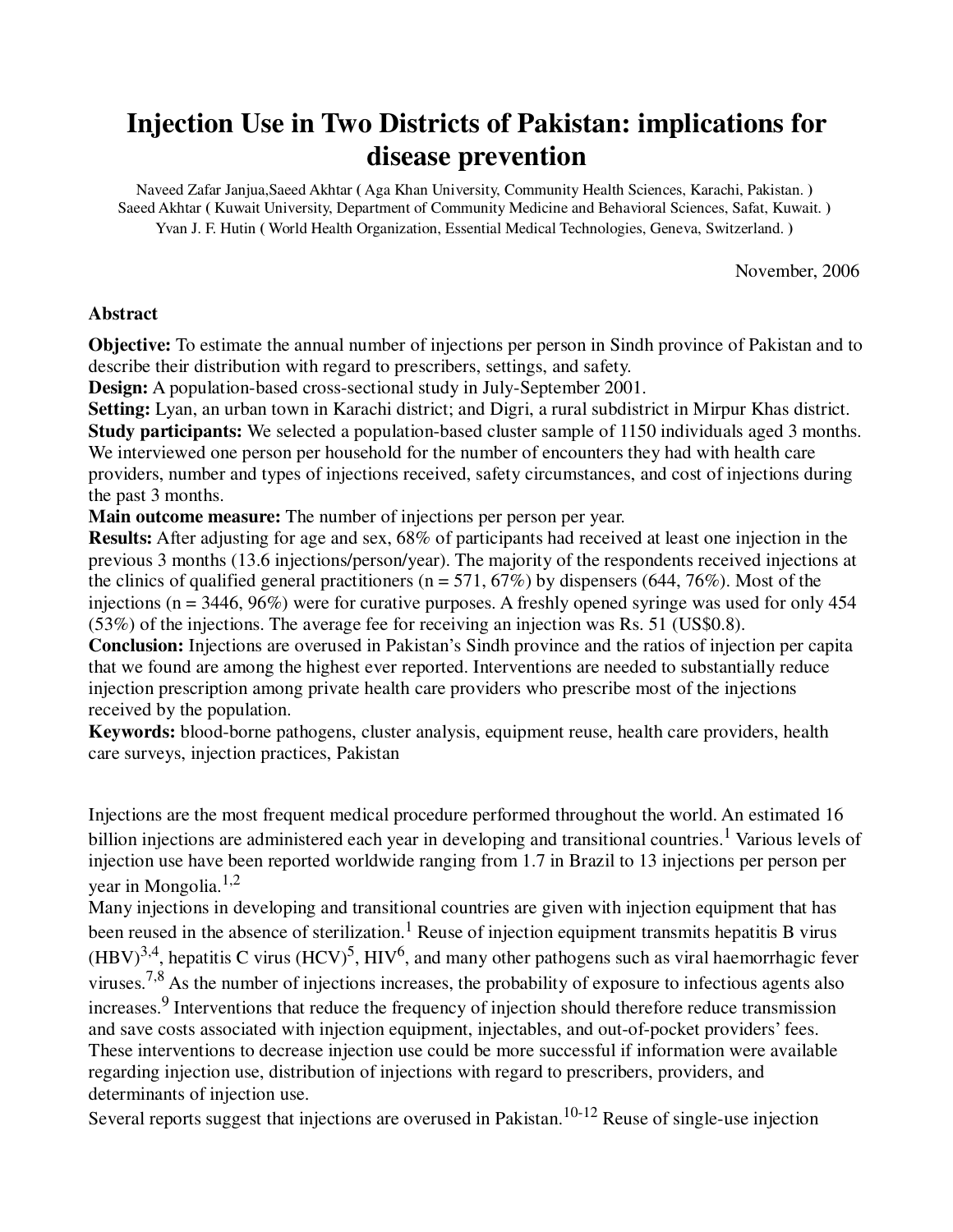## **Injection Use in Two Districts of Pakistan: implications for disease prevention**

Naveed Zafar Janjua,Saeed Akhtar **(** Aga Khan University, Community Health Sciences, Karachi, Pakistan. **)**  Saeed Akhtar **(** Kuwait University, Department of Community Medicine and Behavioral Sciences, Safat, Kuwait. **)**  Yvan J. F. Hutin **(** World Health Organization, Essential Medical Technologies, Geneva, Switzerland. **)**

November, 2006

### **Abstract**

**Objective:** To estimate the annual number of injections per person in Sindh province of Pakistan and to describe their distribution with regard to prescribers, settings, and safety.

**Design:** A population-based cross-sectional study in July-September 2001.

**Setting:** Lyan, an urban town in Karachi district; and Digri, a rural subdistrict in Mirpur Khas district. **Study participants:** We selected a population-based cluster sample of 1150 individuals aged 3 months. We interviewed one person per household for the number of encounters they had with health care providers, number and types of injections received, safety circumstances, and cost of injections during the past 3 months.

**Main outcome measure:** The number of injections per person per year.

**Results:** After adjusting for age and sex, 68% of participants had received at least one injection in the previous 3 months (13.6 injections/person/year). The majority of the respondents received injections at the clinics of qualified general practitioners ( $n = 571, 67\%$ ) by dispensers (644, 76%). Most of the injections (n = 3446, 96%) were for curative purposes. A freshly opened syringe was used for only 454 (53%) of the injections. The average fee for receiving an injection was Rs. 51 (US\$0.8).

**Conclusion:** Injections are overused in Pakistan's Sindh province and the ratios of injection per capita that we found are among the highest ever reported. Interventions are needed to substantially reduce injection prescription among private health care providers who prescribe most of the injections received by the population.

**Keywords:** blood-borne pathogens, cluster analysis, equipment reuse, health care providers, health care surveys, injection practices, Pakistan

Injections are the most frequent medical procedure performed throughout the world. An estimated 16 billion injections are administered each year in developing and transitional countries.<sup>1</sup> Various levels of injection use have been reported worldwide ranging from 1.7 in Brazil to 13 injections per person per year in Mongolia.<sup>1,2</sup>

Many injections in developing and transitional countries are given with injection equipment that has been reused in the absence of sterilization.<sup>1</sup> Reuse of injection equipment transmits hepatitis B virus  $(HBV)^{3,4}$ , hepatitis C virus  $(HCV)^{5}$ ,  $HIV^{6}$ , and many other pathogens such as viral haemorrhagic fever viruses.<sup>7,8</sup> As the number of injections increases, the probability of exposure to infectious agents also increases.<sup>9</sup> Interventions that reduce the frequency of injection should therefore reduce transmission and save costs associated with injection equipment, injectables, and out-of-pocket providers' fees. These interventions to decrease injection use could be more successful if information were available regarding injection use, distribution of injections with regard to prescribers, providers, and determinants of injection use.

Several reports suggest that injections are overused in Pakistan.<sup>10-12</sup> Reuse of single-use injection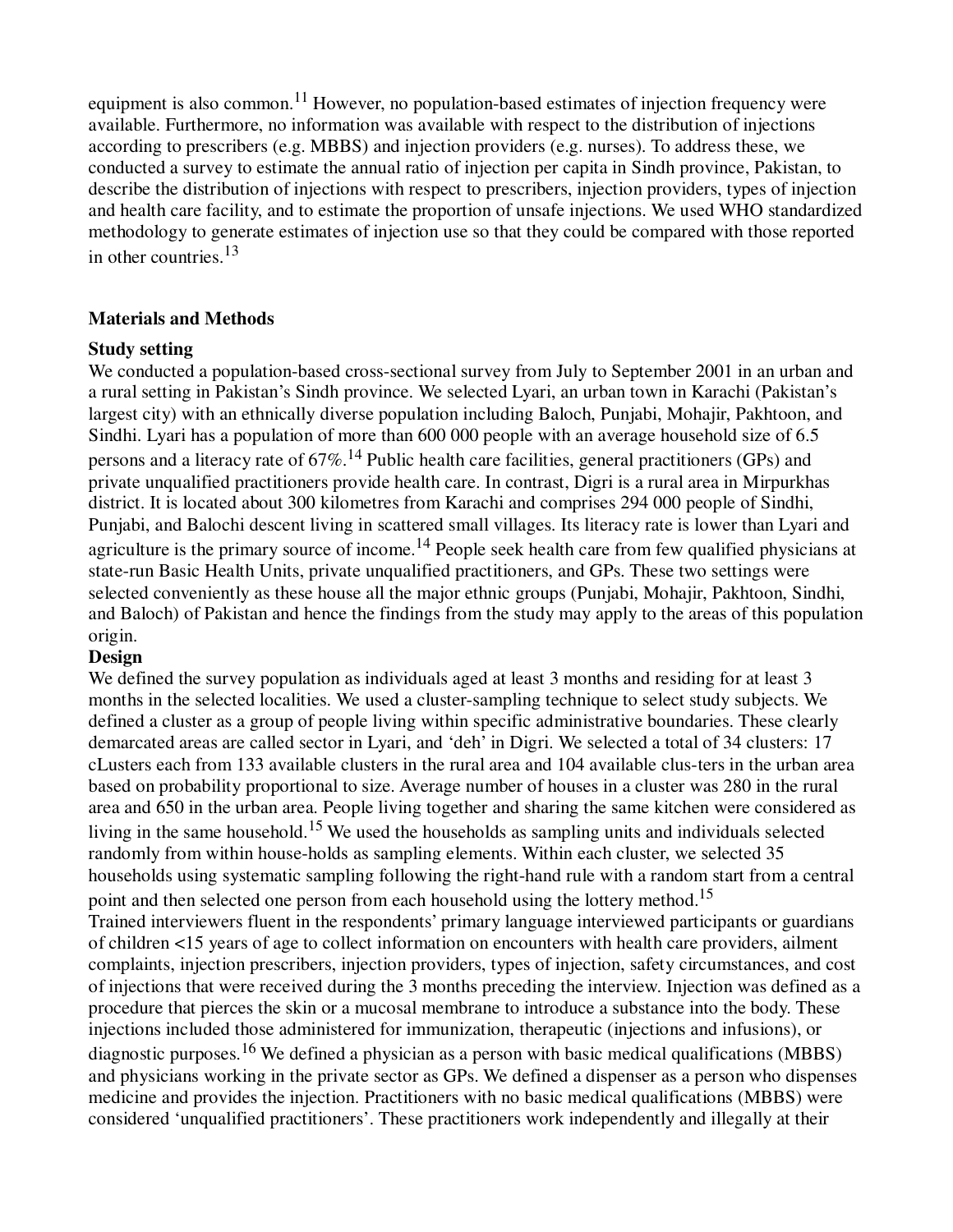equipment is also common.<sup>11</sup> However, no population-based estimates of injection frequency were available. Furthermore, no information was available with respect to the distribution of injections according to prescribers (e.g. MBBS) and injection providers (e.g. nurses). To address these, we conducted a survey to estimate the annual ratio of injection per capita in Sindh province, Pakistan, to describe the distribution of injections with respect to prescribers, injection providers, types of injection and health care facility, and to estimate the proportion of unsafe injections. We used WHO standardized methodology to generate estimates of injection use so that they could be compared with those reported in other countries.<sup>13</sup>

### **Materials and Methods**

### **Study setting**

We conducted a population-based cross-sectional survey from July to September 2001 in an urban and a rural setting in Pakistan's Sindh province. We selected Lyari, an urban town in Karachi (Pakistan's largest city) with an ethnically diverse population including Baloch, Punjabi, Mohajir, Pakhtoon, and Sindhi. Lyari has a population of more than 600 000 people with an average household size of 6.5 persons and a literacy rate of  $67\%$ .<sup>14</sup> Public health care facilities, general practitioners (GPs) and private unqualified practitioners provide health care. In contrast, Digri is a rural area in Mirpurkhas district. It is located about 300 kilometres from Karachi and comprises 294 000 people of Sindhi, Punjabi, and Balochi descent living in scattered small villages. Its literacy rate is lower than Lyari and agriculture is the primary source of income.<sup>14</sup> People seek health care from few qualified physicians at state-run Basic Health Units, private unqualified practitioners, and GPs. These two settings were selected conveniently as these house all the major ethnic groups (Punjabi, Mohajir, Pakhtoon, Sindhi, and Baloch) of Pakistan and hence the findings from the study may apply to the areas of this population origin.

## **Design**

We defined the survey population as individuals aged at least 3 months and residing for at least 3 months in the selected localities. We used a cluster-sampling technique to select study subjects. We defined a cluster as a group of people living within specific administrative boundaries. These clearly demarcated areas are called sector in Lyari, and 'deh' in Digri. We selected a total of 34 clusters: 17 cLusters each from 133 available clusters in the rural area and 104 available clus-ters in the urban area based on probability proportional to size. Average number of houses in a cluster was 280 in the rural area and 650 in the urban area. People living together and sharing the same kitchen were considered as living in the same household.15 We used the households as sampling units and individuals selected randomly from within house-holds as sampling elements. Within each cluster, we selected 35 households using systematic sampling following the right-hand rule with a random start from a central point and then selected one person from each household using the lottery method.<sup>15</sup> Trained interviewers fluent in the respondents' primary language interviewed participants or guardians of children <15 years of age to collect information on encounters with health care providers, ailment complaints, injection prescribers, injection providers, types of injection, safety circumstances, and cost of injections that were received during the 3 months preceding the interview. Injection was defined as a procedure that pierces the skin or a mucosal membrane to introduce a substance into the body. These injections included those administered for immunization, therapeutic (injections and infusions), or diagnostic purposes.<sup>16</sup> We defined a physician as a person with basic medical qualifications (MBBS) and physicians working in the private sector as GPs. We defined a dispenser as a person who dispenses medicine and provides the injection. Practitioners with no basic medical qualifications (MBBS) were considered 'unqualified practitioners'. These practitioners work independently and illegally at their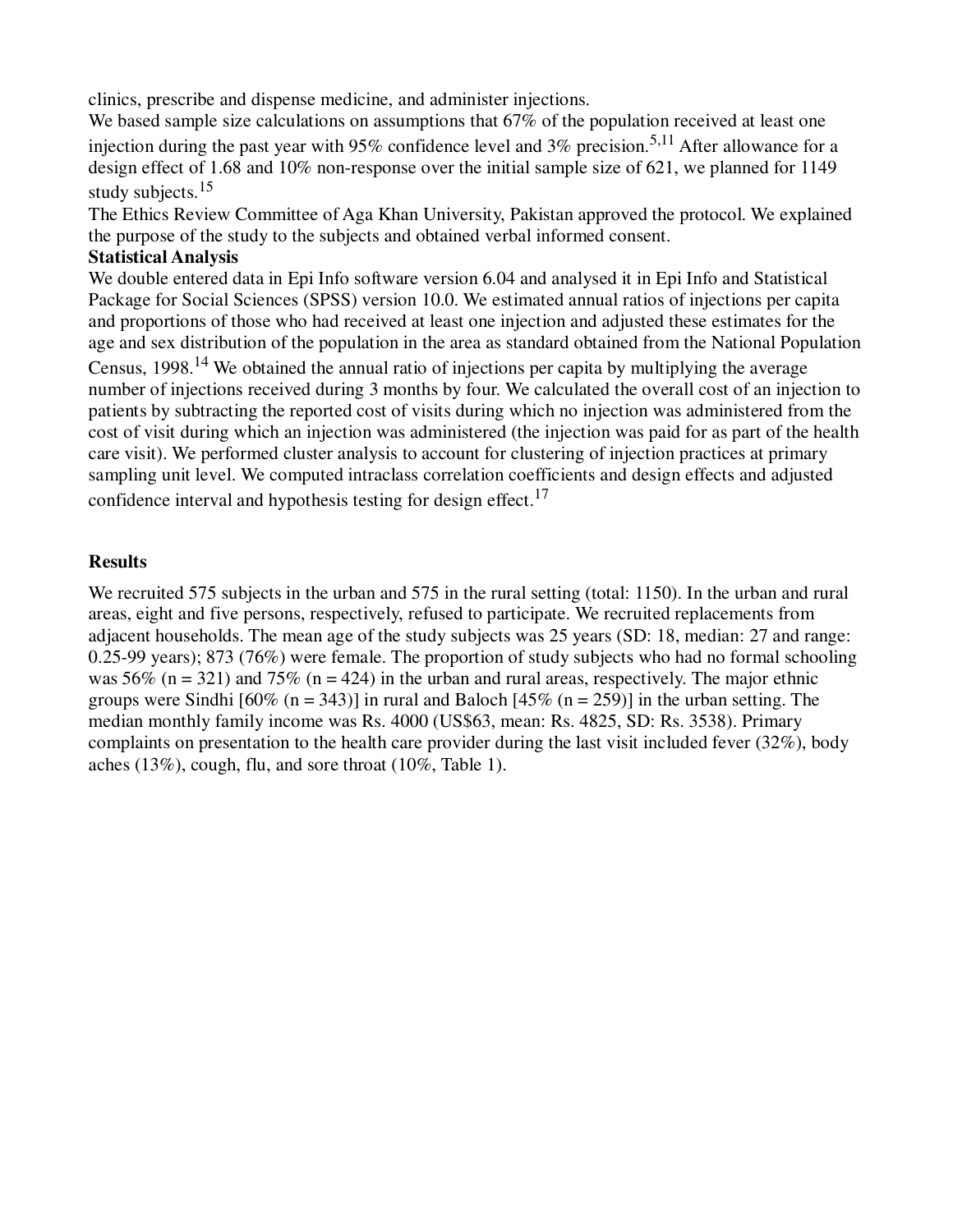clinics, prescribe and dispense medicine, and administer injections.

We based sample size calculations on assumptions that 67% of the population received at least one injection during the past year with 95% confidence level and 3% precision.<sup>5,11</sup> After allowance for a design effect of 1.68 and 10% non-response over the initial sample size of 621, we planned for 1149 study subjects.<sup>15</sup>

The Ethics Review Committee of Aga Khan University, Pakistan approved the protocol. We explained the purpose of the study to the subjects and obtained verbal informed consent.

### **Statistical Analysis**

We double entered data in Epi Info software version 6.04 and analysed it in Epi Info and Statistical Package for Social Sciences (SPSS) version 10.0. We estimated annual ratios of injections per capita and proportions of those who had received at least one injection and adjusted these estimates for the age and sex distribution of the population in the area as standard obtained from the National Population

Census, 1998.<sup>14</sup> We obtained the annual ratio of injections per capita by multiplying the average number of injections received during 3 months by four. We calculated the overall cost of an injection to patients by subtracting the reported cost of visits during which no injection was administered from the cost of visit during which an injection was administered (the injection was paid for as part of the health care visit). We performed cluster analysis to account for clustering of injection practices at primary sampling unit level. We computed intraclass correlation coefficients and design effects and adjusted confidence interval and hypothesis testing for design effect.<sup>17</sup>

### **Results**

We recruited 575 subjects in the urban and 575 in the rural setting (total: 1150). In the urban and rural areas, eight and five persons, respectively, refused to participate. We recruited replacements from adjacent households. The mean age of the study subjects was 25 years (SD: 18, median: 27 and range: 0.25-99 years); 873 (76%) were female. The proportion of study subjects who had no formal schooling was 56% (n = 321) and 75% (n = 424) in the urban and rural areas, respectively. The major ethnic groups were Sindhi  $[60\% (n = 343)]$  in rural and Baloch  $[45\% (n = 259)]$  in the urban setting. The median monthly family income was Rs. 4000 (US\$63, mean: Rs. 4825, SD: Rs. 3538). Primary complaints on presentation to the health care provider during the last visit included fever (32%), body aches (13%), cough, flu, and sore throat (10%, Table 1).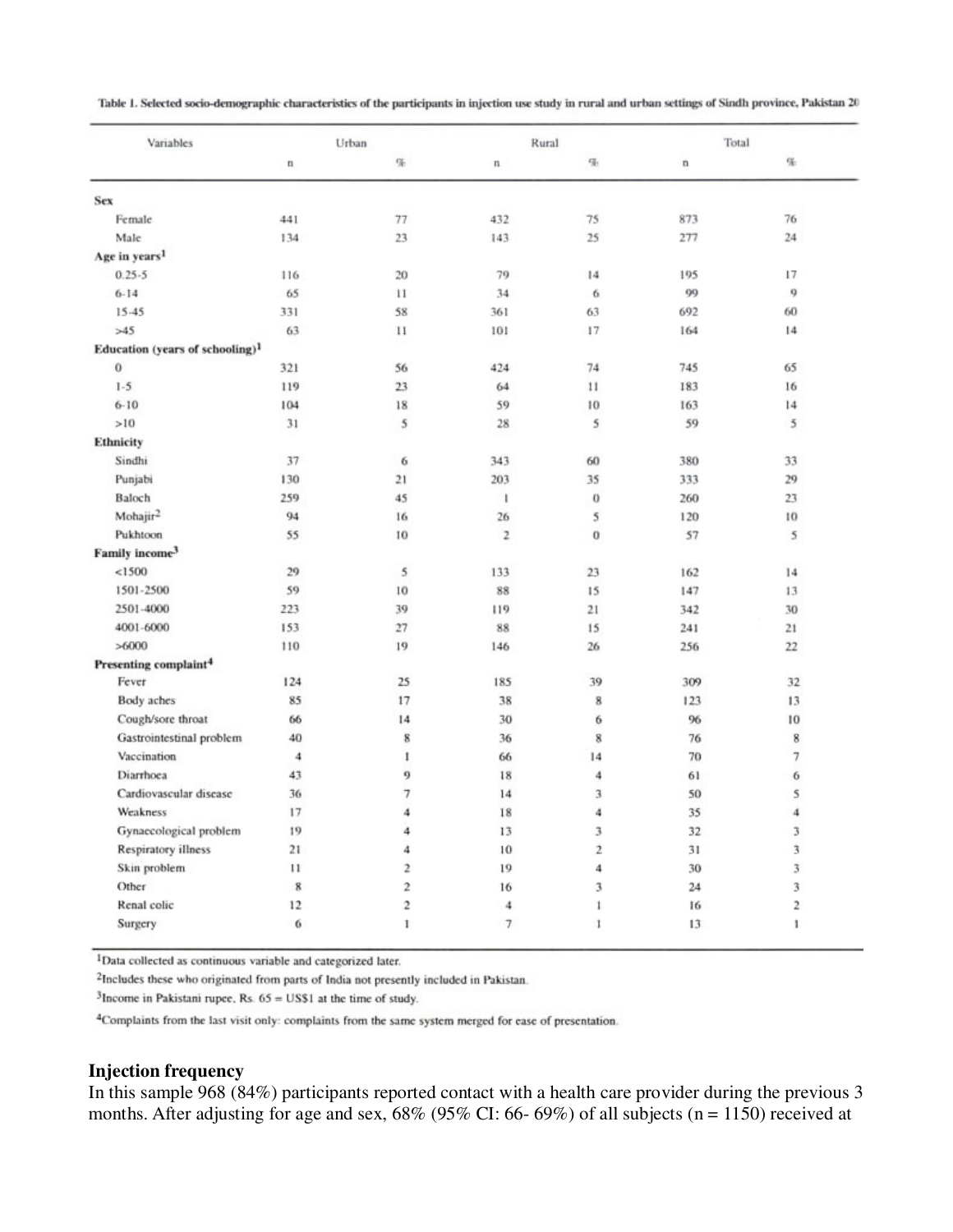| Table 1. Selected socio-demographic characteristics of the participants in injection use study in rural and urban settings of Sindh province, Pakistan 20 |  |  |
|-----------------------------------------------------------------------------------------------------------------------------------------------------------|--|--|
|-----------------------------------------------------------------------------------------------------------------------------------------------------------|--|--|

| Variables                                   |              | Urban        | Rural       |              | Total        |                |
|---------------------------------------------|--------------|--------------|-------------|--------------|--------------|----------------|
|                                             | $\mathbf{u}$ | $\%$         | n           | 吊            | $\mathbf{n}$ | $\mathbf{q}_i$ |
| Sex                                         |              |              |             |              |              |                |
| Female                                      | 441          | 77           | 432         | 75           | 873          | 76             |
| Male                                        | 134          | 23           | 143         | 25           | 277          | 24             |
| Age in years <sup>1</sup>                   |              |              |             |              |              |                |
| $0.25 - 5$                                  | 116          | 20           | 79          | 14           | 195          | 17             |
| $6 - 14$                                    | 65           | 11           | 34          | 6            | 99           | 9              |
| $15 - 45$                                   | 331          | 58           | 361         | 63           | 692          | 60             |
| >45                                         | 63           | 11           | 101         | 17           | 164          | 14             |
| Education (years of schooling) <sup>1</sup> |              |              |             |              |              |                |
| $\bf{0}$                                    | 321          | 56           | 424         | 74           | 745          | 65             |
| $1-5$                                       | 119          | 23           | 64          | 11           | 183          | 16             |
| $6 - 10$                                    | 104          | 18           | 59          | 10           | 163          | 14             |
| >10                                         | 31           | 5            | 28          | 5            | 59           | 5              |
| Ethnicity                                   |              |              |             |              |              |                |
| Sindhi                                      | 37           | 6            | 343         | 60           | 380          | 33             |
| Punjabi                                     | 130          | 21           | 203         | 35           | 333          | 29             |
| Baloch                                      | 259          | 45           | 1           | $\bf{0}$     | 260          | 23             |
| Mohajir <sup>2</sup>                        | 94           | 16           | 26          | 5            | 120          | 10             |
| Pukhtoon                                    | 55           | 10           | $\mathbf 2$ | 0            | 57           | 5              |
| Family income <sup>3</sup>                  |              |              |             |              |              |                |
| <1500                                       | 29           | 5            | 133         | 23           | 162          | 14             |
| 1501-2500                                   | 59           | 10           | 88          | 15           | 147          | 13             |
| 2501-4000                                   | 223          | 39           | 119         | 21           | 342          | 30             |
| 4001-6000                                   | 153          | $27\,$       | 88          | 15           | 241          | 21             |
| >6000                                       | 110          | 19           | 146         | 26           | 256          | 22             |
| Presenting complaint <sup>4</sup>           |              |              |             |              |              |                |
| Fever                                       | 124          | 25           | 185         | 39           | 309          | 32             |
| Body aches                                  | 85           | 17           | 38          | 8            | 123          | 13             |
| Cough/sore throat                           | 66           | 14           | 30          | 6            | 96           | 10             |
| Gastrointestinal problem                    | 40           | 8            | 36          | 8            | 76           | 8              |
| Vaccination                                 | 4            | 1            | 66          | 14           | 70           | 7              |
| Diarrhoea                                   | 43           | 9            | 18          | 4            | 61           | 6              |
| Cardiovascular disease                      | 36           | 7            | 14          | 3            | 50           | 5              |
| Weakness                                    | 17           | 4            | 18          | 4            | 35           | 4              |
| Gynaecological problem                      | 19           | 4            | 13          | 3            | 32           | 3              |
| <b>Respiratory illness</b>                  | 21           | 4            | 10          | 2            | 31           | 3              |
| Skin problem                                | $^{11}$      | $\mathbf{2}$ | 19          | 4            | 30           | 3              |
| Other                                       | $\,$ 8       | 2            | 16          | 3            | 24           | 3              |
| Renal colic                                 | 12           | 2            | 4           | $\mathbf{1}$ | 16           | 2              |
| Surgery                                     | 6            | 1            | $\tau$      | 1            | 13           | Ł              |

<sup>1</sup>Data collected as continuous variable and categorized later.

<sup>2</sup>Includes these who originated from parts of India not presently included in Pakistan.

 $3$ Income in Pakistani rupee, Rs.  $65 =$  US\$1 at the time of study.

<sup>4</sup>Complaints from the last visit only: complaints from the same system merged for ease of presentation.

### **Injection frequency**

In this sample 968 (84%) participants reported contact with a health care provider during the previous 3 months. After adjusting for age and sex, 68% (95% CI: 66- 69%) of all subjects (n = 1150) received at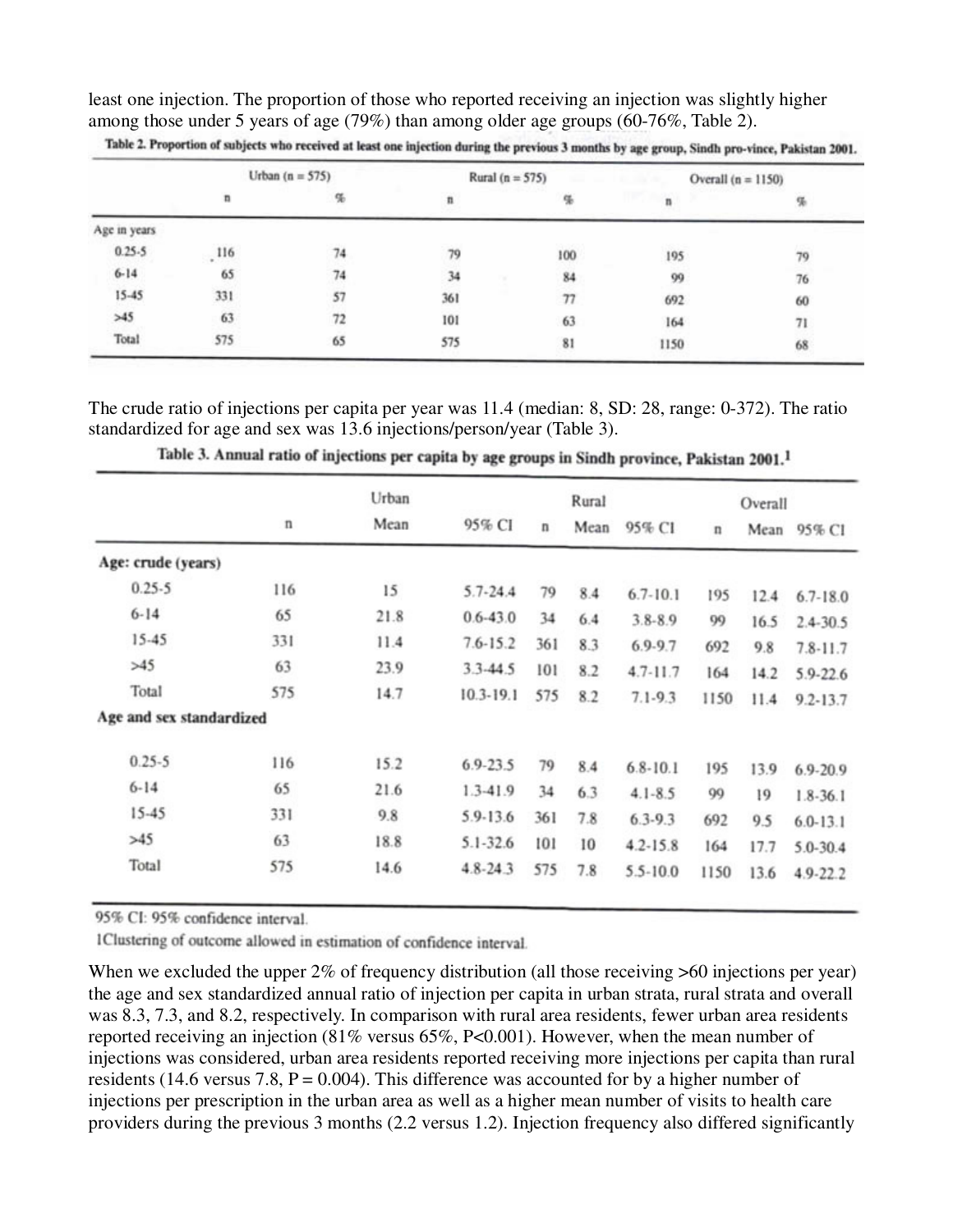least one injection. The proportion of those who reported receiving an injection was slightly higher among those under 5 years of age (79%) than among older age groups (60-76%, Table 2).

|              | Urban $(n = 575)$ |    | Rural ( $n = 575$ ) |     | Overall $(n = 1150)$ |    |
|--------------|-------------------|----|---------------------|-----|----------------------|----|
|              | $\mathbf{n}$      | 56 | n                   |     | n                    | 啺  |
| Age in years |                   |    |                     |     |                      |    |
| $0.25 - 5$   | .116              | 74 | 79                  | 100 | 195                  | 79 |
| $6 - 14$     | 65                | 74 | 34                  | 84  | 99                   | 76 |
| $15 - 45$    | 331               | 57 | 361                 | 77  | 692                  | 60 |
| >45          | 63                | 72 | 101                 | 63  | 164                  | 71 |
| Total        | 575               | 65 | 575                 | 81  | 1150                 | 68 |

Table 2. Proportion of subjects who received at least one injection during the previous 3 months by age group, Sindh pro-vince, Pakistan 2001.

The crude ratio of injections per capita per year was 11.4 (median: 8, SD: 28, range: 0-372). The ratio standardized for age and sex was 13.6 injections/person/year (Table 3).

|                          |     | Urban |               |             | Rural |              |              | Overall |              |
|--------------------------|-----|-------|---------------|-------------|-------|--------------|--------------|---------|--------------|
|                          | n   | Mean  | 95% CI        | $\mathbf n$ | Mean  | 95% CI       | $\mathbf{n}$ | Mean    | 95% CI       |
| Age: crude (years)       |     |       |               |             |       |              |              |         |              |
| $0.25 - 5$               | 116 | 15    | $5.7 - 24.4$  | 79          | 8.4   | $6.7 - 10.1$ | 195          | 12.4    | $6.7 - 18.0$ |
| $6 - 14$                 | 65  | 21.8  | $0.6 - 43.0$  | 34          | 6.4   | $3.8 - 8.9$  | 99           | 16.5    | $2.4 - 30.5$ |
| 15-45                    | 331 | 11.4  | $7.6 - 15.2$  | 361         | 8.3   | $6.9 - 9.7$  | 692          | 9.8     | $7.8 - 11.7$ |
| >45                      | 63  | 23.9  | $3.3 - 44.5$  | 101         | 8.2   | $4.7 - 11.7$ | 164          | 14.2    | 5.9-22.6     |
| Total                    | 575 | 14.7  | $10.3 - 19.1$ | 575         | 8.2   | $7.1 - 9.3$  | 1150         | 11.4    | $9.2 - 13.7$ |
| Age and sex standardized |     |       |               |             |       |              |              |         |              |
| $0.25 - 5$               | 116 | 15.2  | $6.9 - 23.5$  | 79          | 8.4   | $6.8 - 10.1$ | 195          | 13.9    | $6.9 - 20.9$ |
| $6 - 14$                 | 65  | 21.6  | 1.3-41.9      | 34          | 6.3   | $4.1 - 8.5$  | 99           | 19      | $1.8 - 36.1$ |
| 15-45                    | 331 | 9.8   | 5.9-13.6      | 361         | 7.8   | $6.3 - 9.3$  | 692          | 9.5     | $6.0 - 13.1$ |
| >45                      | 63  | 18.8  | $5.1 - 32.6$  | 101         | 10    | $4.2 - 15.8$ | 164          | 17.7    | $5.0 - 30.4$ |
| Total                    | 575 | 14.6  | $4.8 - 24.3$  | 575         | 7.8   | $5.5 - 10.0$ | 1150         | 13.6    | 4.9-22.2     |

Table 3. Annual ratio of injections per capita by age groups in Sindh province, Pakistan 2001.<sup>1</sup>

95% CI: 95% confidence interval.

1Clustering of outcome allowed in estimation of confidence interval.

When we excluded the upper  $2\%$  of frequency distribution (all those receiving  $>60$  injections per year) the age and sex standardized annual ratio of injection per capita in urban strata, rural strata and overall was 8.3, 7.3, and 8.2, respectively. In comparison with rural area residents, fewer urban area residents reported receiving an injection (81% versus 65%, P<0.001). However, when the mean number of injections was considered, urban area residents reported receiving more injections per capita than rural residents (14.6 versus 7.8,  $P = 0.004$ ). This difference was accounted for by a higher number of injections per prescription in the urban area as well as a higher mean number of visits to health care providers during the previous 3 months (2.2 versus 1.2). Injection frequency also differed significantly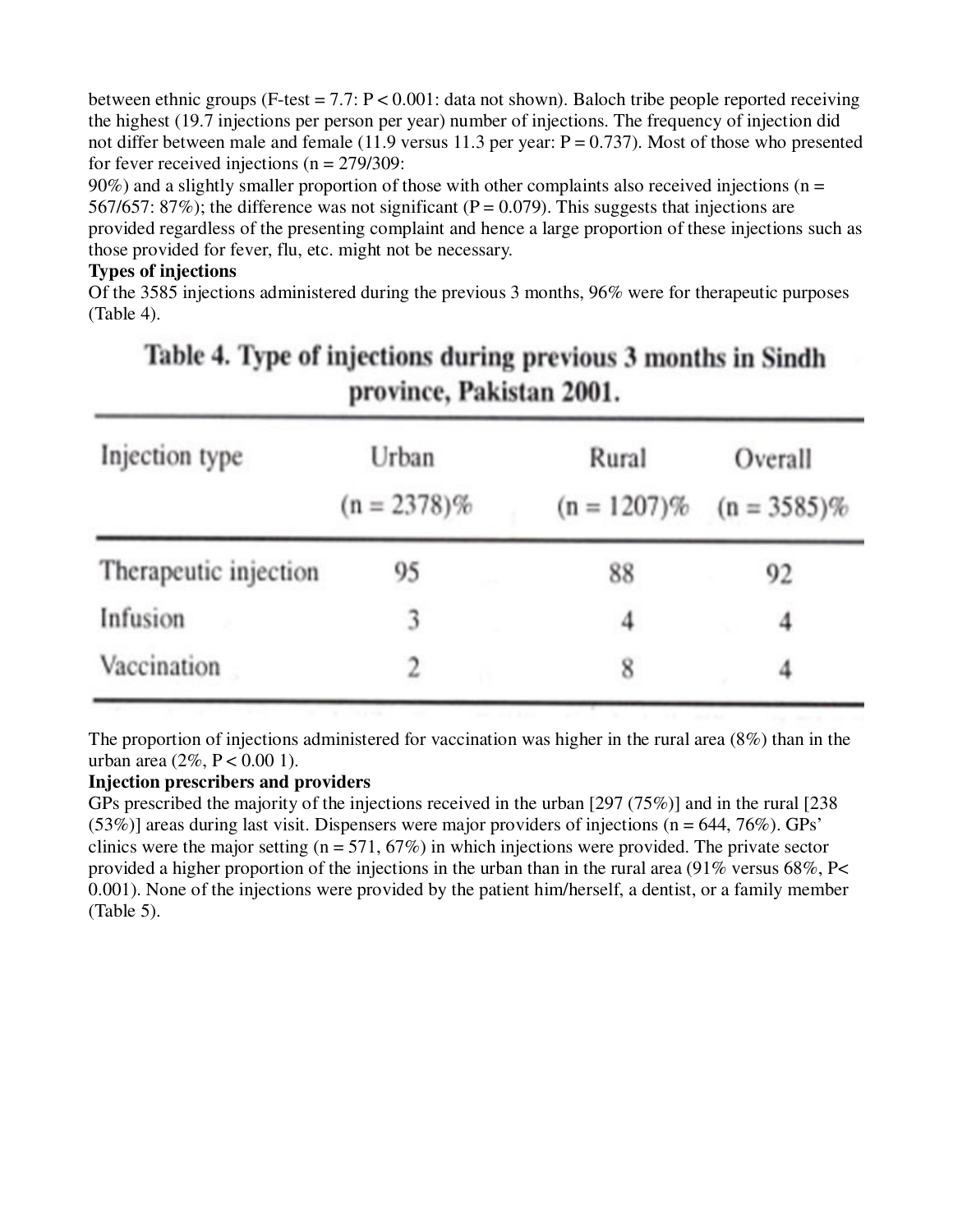between ethnic groups (F-test =  $7.7: P < 0.001$ : data not shown). Baloch tribe people reported receiving the highest (19.7 injections per person per year) number of injections. The frequency of injection did not differ between male and female (11.9 versus 11.3 per year:  $P = 0.737$ ). Most of those who presented for fever received injections ( $n = 279/309$ :

 $90\%$ ) and a slightly smaller proportion of those with other complaints also received injections ( $n =$ 567/657: 87%); the difference was not significant ( $P = 0.079$ ). This suggests that injections are provided regardless of the presenting complaint and hence a large proportion of these injections such as those provided for fever, flu, etc. might not be necessary.

## **Types of injections**

Of the 3585 injections administered during the previous 3 months, 96% were for therapeutic purposes (Table 4).

| $P^{\prime}$ of the control and $P^{\prime}$ |                         |                         |                           |  |  |  |  |
|----------------------------------------------|-------------------------|-------------------------|---------------------------|--|--|--|--|
| Injection type                               | Urban<br>$(n = 2378)\%$ | Rural<br>$(n = 1207)\%$ | Overall<br>$(n = 3585)\%$ |  |  |  |  |
| Therapeutic injection                        | 95                      | 88                      | 92                        |  |  |  |  |
| Infusion                                     | 3                       | 4                       | 4                         |  |  |  |  |
| Vaccination                                  |                         | 8                       |                           |  |  |  |  |

# Table 4. Type of injections during previous 3 months in Sindh province Pakistan 2001

The proportion of injections administered for vaccination was higher in the rural area (8%) than in the urban area  $(2\%, P < 0.001)$ .

## **Injection prescribers and providers**

GPs prescribed the majority of the injections received in the urban [297 (75%)] and in the rural [238  $(53\%)$  areas during last visit. Dispensers were major providers of injections (n = 644, 76%). GPs' clinics were the major setting ( $n = 571, 67\%)$  in which injections were provided. The private sector provided a higher proportion of the injections in the urban than in the rural area (91% versus 68%, P< 0.001). None of the injections were provided by the patient him/herself, a dentist, or a family member (Table 5).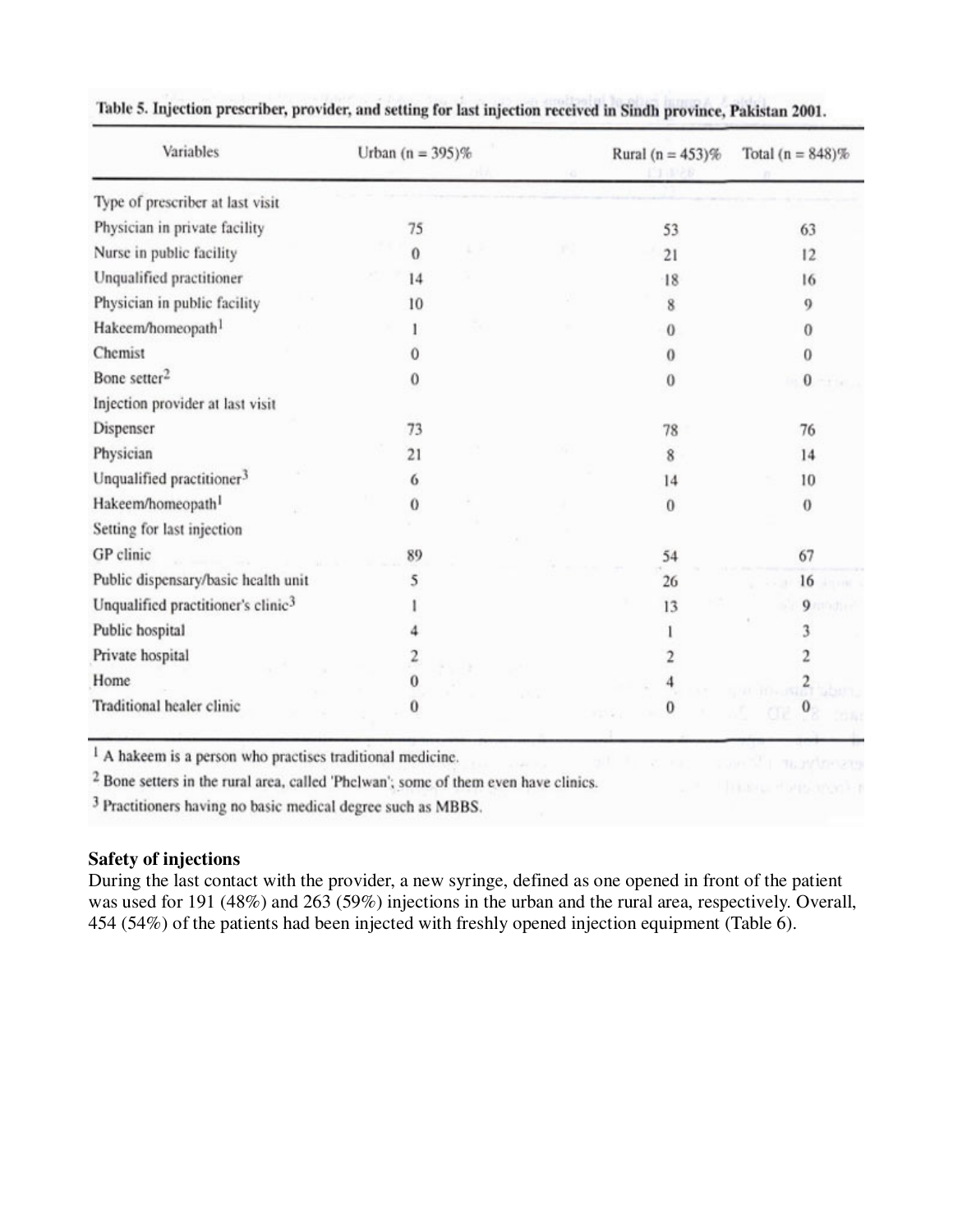| Variables                                      | Urban $(n = 395)\%$ |  | Rural ( $n = 453$ )% | Total $(n = 848)\%$ |
|------------------------------------------------|---------------------|--|----------------------|---------------------|
| Type of prescriber at last visit               |                     |  |                      |                     |
| Physician in private facility                  | 75                  |  | 53                   | 63                  |
| Nurse in public facility                       | $\Omega$            |  | 21                   | 12                  |
| Unqualified practitioner                       | 14                  |  | 18                   | 16                  |
| Physician in public facility                   | 10                  |  | 8                    | 9                   |
| Hakeem/homeopath <sup>1</sup>                  |                     |  | $\bf{0}$             | 0                   |
| Chemist                                        |                     |  | $\theta$             | 0                   |
| Bone setter <sup>2</sup>                       | 0                   |  | 0                    | o                   |
| Injection provider at last visit               |                     |  |                      |                     |
| Dispenser                                      | 73                  |  | 78                   | 76                  |
| Physician                                      | 21                  |  | 8                    | 14                  |
| Unqualified practitioner <sup>3</sup>          | 6                   |  | 14                   | 10                  |
| Hakeem/homeopath <sup>1</sup>                  | $\theta$            |  | $\bf{0}$             | $\theta$            |
| Setting for last injection                     |                     |  |                      |                     |
| GP clinic                                      | 89                  |  | 54                   | 67                  |
| Public dispensary/basic health unit            | 5                   |  | 26                   | 16                  |
| Unqualified practitioner's clinic <sup>3</sup> |                     |  | 13                   | 9                   |
| Public hospital                                |                     |  |                      |                     |
| Private hospital                               |                     |  |                      |                     |
| Home                                           | 0                   |  |                      |                     |
| Traditional healer clinic                      | 0                   |  |                      |                     |

## Table 5. Injection prescriber, provider, and setting for last injection received in Sindh province, Pakistan 2001.

<sup>1</sup> A hakeem is a person who practises traditional medicine.

<sup>2</sup> Bone setters in the rural area, called 'Phelwan'; some of them even have clinics.

<sup>3</sup> Practitioners having no basic medical degree such as MBBS.

## **Safety of injections**

During the last contact with the provider, a new syringe, defined as one opened in front of the patient was used for 191 (48%) and 263 (59%) injections in the urban and the rural area, respectively. Overall, 454 (54%) of the patients had been injected with freshly opened injection equipment (Table 6).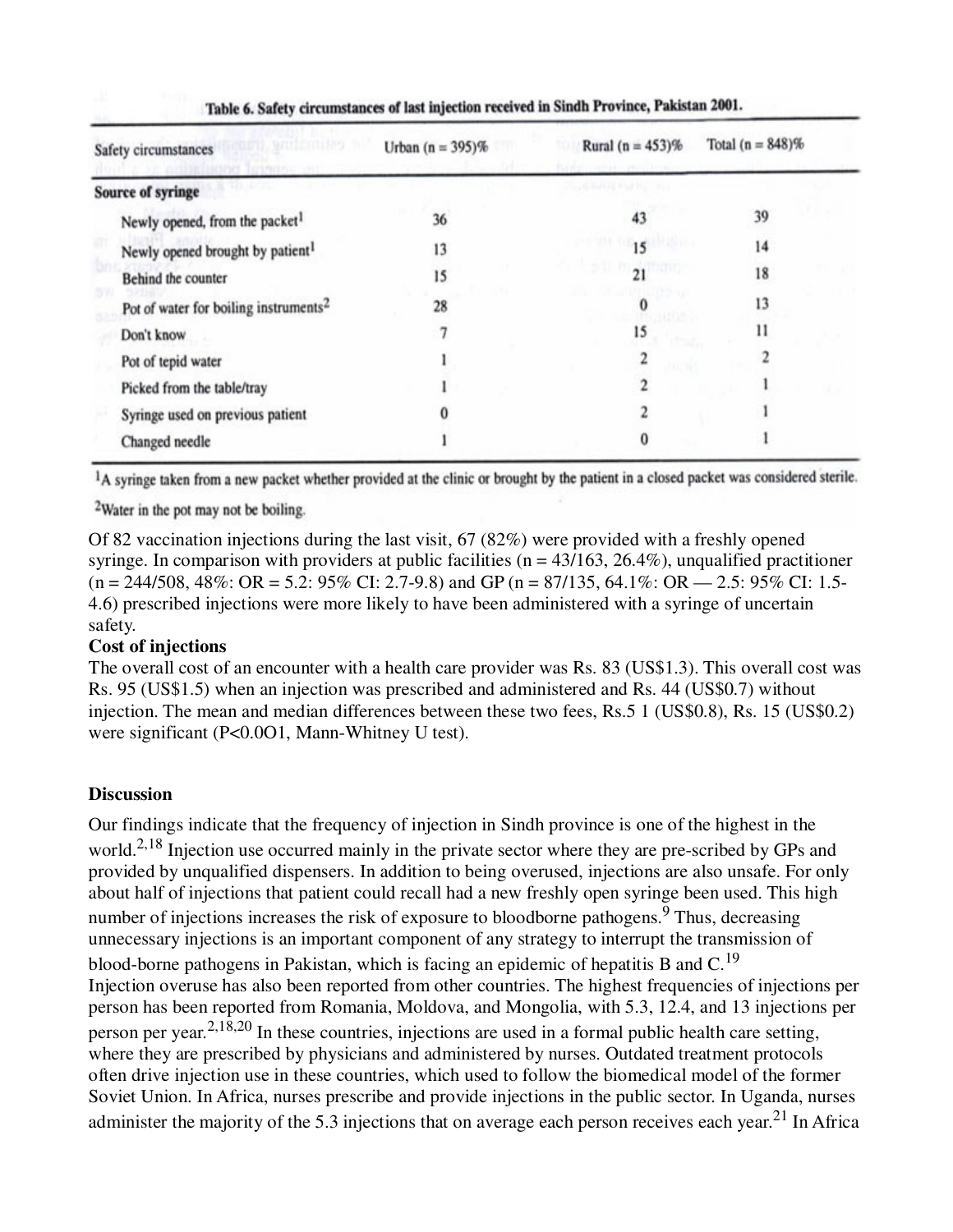| Safety circumstances                              | Urban $(n = 395)\%$ | Rural ( $n = 453$ )%                    | Total $(n = 848)\%$ |  |
|---------------------------------------------------|---------------------|-----------------------------------------|---------------------|--|
| <b>Source of syringe</b>                          |                     | <b>Contract Development of the Pro-</b> |                     |  |
| Newly opened, from the packet <sup>1</sup>        | 36                  | 43                                      | 39                  |  |
| Newly opened brought by patient <sup>1</sup>      | 13                  |                                         | 14                  |  |
| Behind the counter                                | 15                  | 21                                      | 18                  |  |
| Pot of water for boiling instruments <sup>2</sup> | 28                  |                                         | 13                  |  |
| Don't know                                        |                     | 15                                      | 11                  |  |
| Pot of tepid water                                |                     |                                         |                     |  |
| Picked from the table/tray                        |                     |                                         |                     |  |
| Syringe used on previous patient                  |                     |                                         |                     |  |
| Changed needle                                    |                     |                                         |                     |  |

Table 6. Safety circumstances of last injection received in Sindh Province, Pakistan 2001.

<sup>1</sup>A syringe taken from a new packet whether provided at the clinic or brought by the patient in a closed packet was considered sterile.

<sup>2</sup>Water in the pot may not be boiling.

Of 82 vaccination injections during the last visit, 67 (82%) were provided with a freshly opened syringe. In comparison with providers at public facilities ( $n = 43/163$ , 26.4%), unqualified practitioner  $(n = 244/508, 48\% \text{: OR } = 5.2 \text{: } 95\% \text{ CI: } 2.7-9.8)$  and GP  $(n = 87/135, 64.1\% \text{: OR } = 2.5 \text{: } 95\% \text{ CI: } 1.5-$ 4.6) prescribed injections were more likely to have been administered with a syringe of uncertain safety.

## **Cost of injections**

The overall cost of an encounter with a health care provider was Rs. 83 (US\$1.3). This overall cost was Rs. 95 (US\$1.5) when an injection was prescribed and administered and Rs. 44 (US\$0.7) without injection. The mean and median differences between these two fees, Rs.5 1 (US\$0.8), Rs. 15 (US\$0.2) were significant (P<0.0O1, Mann-Whitney U test).

## **Discussion**

Our findings indicate that the frequency of injection in Sindh province is one of the highest in the world.<sup>2,18</sup> Injection use occurred mainly in the private sector where they are pre-scribed by GPs and provided by unqualified dispensers. In addition to being overused, injections are also unsafe. For only about half of injections that patient could recall had a new freshly open syringe been used. This high number of injections increases the risk of exposure to bloodborne pathogens.<sup>9</sup> Thus, decreasing unnecessary injections is an important component of any strategy to interrupt the transmission of blood-borne pathogens in Pakistan, which is facing an epidemic of hepatitis B and C.<sup>19</sup> Injection overuse has also been reported from other countries. The highest frequencies of injections per person has been reported from Romania, Moldova, and Mongolia, with 5.3, 12.4, and 13 injections per person per year.2,18,20 In these countries, injections are used in a formal public health care setting, where they are prescribed by physicians and administered by nurses. Outdated treatment protocols often drive injection use in these countries, which used to follow the biomedical model of the former Soviet Union. In Africa, nurses prescribe and provide injections in the public sector. In Uganda, nurses administer the majority of the 5.3 injections that on average each person receives each year.<sup>21</sup> In Africa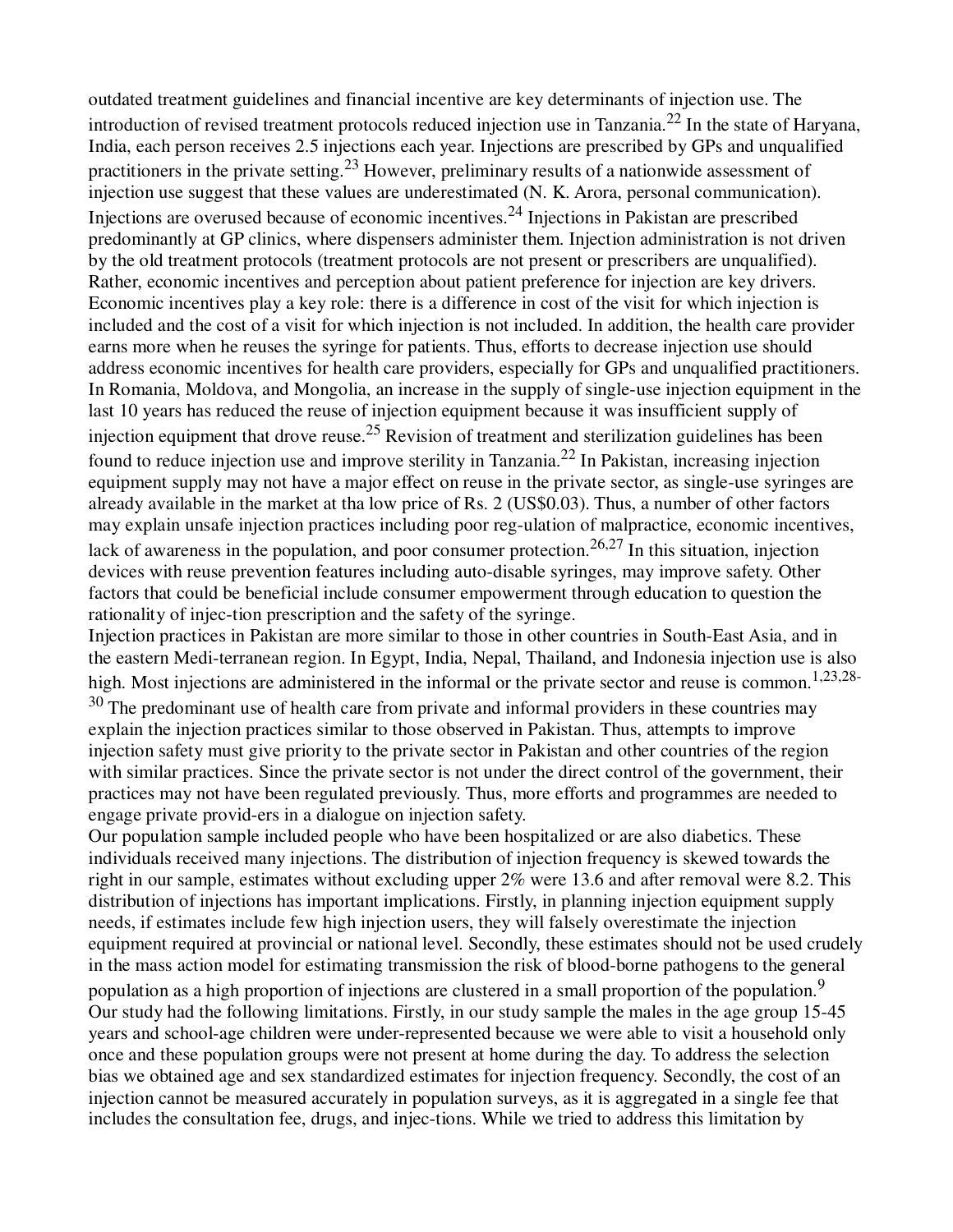outdated treatment guidelines and financial incentive are key determinants of injection use. The introduction of revised treatment protocols reduced injection use in Tanzania.22 In the state of Haryana, India, each person receives 2.5 injections each year. Injections are prescribed by GPs and unqualified practitioners in the private setting.<sup>23</sup> However, preliminary results of a nationwide assessment of injection use suggest that these values are underestimated (N. K. Arora, personal communication). Injections are overused because of economic incentives.<sup>24</sup> Injections in Pakistan are prescribed predominantly at GP clinics, where dispensers administer them. Injection administration is not driven by the old treatment protocols (treatment protocols are not present or prescribers are unqualified). Rather, economic incentives and perception about patient preference for injection are key drivers. Economic incentives play a key role: there is a difference in cost of the visit for which injection is included and the cost of a visit for which injection is not included. In addition, the health care provider earns more when he reuses the syringe for patients. Thus, efforts to decrease injection use should address economic incentives for health care providers, especially for GPs and unqualified practitioners. In Romania, Moldova, and Mongolia, an increase in the supply of single-use injection equipment in the last 10 years has reduced the reuse of injection equipment because it was insufficient supply of injection equipment that drove reuse.<sup>25</sup> Revision of treatment and sterilization guidelines has been found to reduce injection use and improve sterility in Tanzania.22 In Pakistan, increasing injection equipment supply may not have a major effect on reuse in the private sector, as single-use syringes are already available in the market at tha low price of Rs. 2 (US\$0.03). Thus, a number of other factors may explain unsafe injection practices including poor reg-ulation of malpractice, economic incentives, lack of awareness in the population, and poor consumer protection.<sup>26,27</sup> In this situation, injection devices with reuse prevention features including auto-disable syringes, may improve safety. Other factors that could be beneficial include consumer empowerment through education to question the rationality of injec-tion prescription and the safety of the syringe.

Injection practices in Pakistan are more similar to those in other countries in South-East Asia, and in the eastern Medi-terranean region. In Egypt, India, Nepal, Thailand, and Indonesia injection use is also high. Most injections are administered in the informal or the private sector and reuse is common.<sup>1,23,28-</sup>

 $30$  The predominant use of health care from private and informal providers in these countries may explain the injection practices similar to those observed in Pakistan. Thus, attempts to improve injection safety must give priority to the private sector in Pakistan and other countries of the region with similar practices. Since the private sector is not under the direct control of the government, their practices may not have been regulated previously. Thus, more efforts and programmes are needed to engage private provid-ers in a dialogue on injection safety.

Our population sample included people who have been hospitalized or are also diabetics. These individuals received many injections. The distribution of injection frequency is skewed towards the right in our sample, estimates without excluding upper 2% were 13.6 and after removal were 8.2. This distribution of injections has important implications. Firstly, in planning injection equipment supply needs, if estimates include few high injection users, they will falsely overestimate the injection equipment required at provincial or national level. Secondly, these estimates should not be used crudely in the mass action model for estimating transmission the risk of blood-borne pathogens to the general population as a high proportion of injections are clustered in a small proportion of the population.<sup>9</sup> Our study had the following limitations. Firstly, in our study sample the males in the age group 15-45 years and school-age children were under-represented because we were able to visit a household only once and these population groups were not present at home during the day. To address the selection bias we obtained age and sex standardized estimates for injection frequency. Secondly, the cost of an injection cannot be measured accurately in population surveys, as it is aggregated in a single fee that includes the consultation fee, drugs, and injec-tions. While we tried to address this limitation by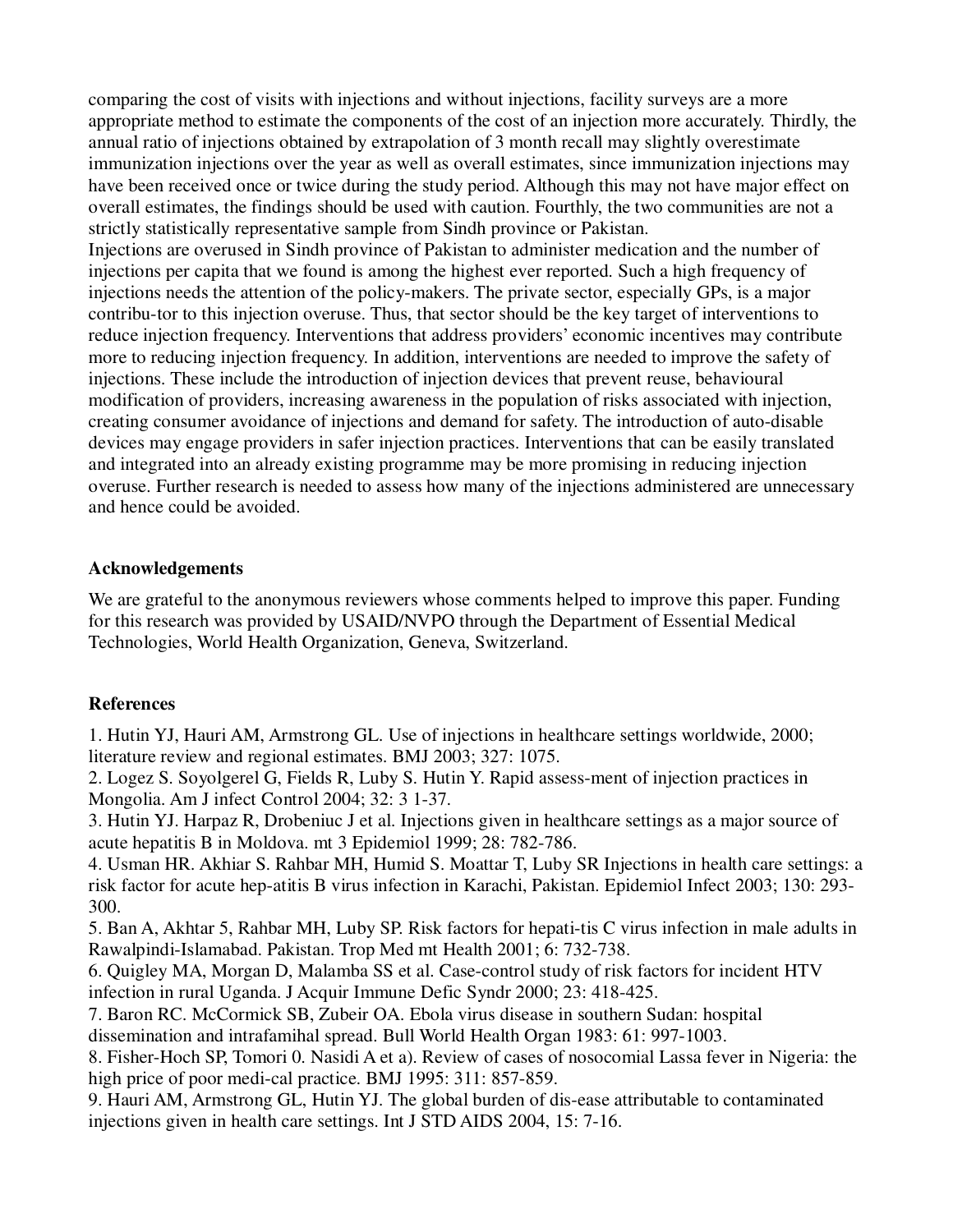comparing the cost of visits with injections and without injections, facility surveys are a more appropriate method to estimate the components of the cost of an injection more accurately. Thirdly, the annual ratio of injections obtained by extrapolation of 3 month recall may slightly overestimate immunization injections over the year as well as overall estimates, since immunization injections may have been received once or twice during the study period. Although this may not have major effect on overall estimates, the findings should be used with caution. Fourthly, the two communities are not a strictly statistically representative sample from Sindh province or Pakistan.

Injections are overused in Sindh province of Pakistan to administer medication and the number of injections per capita that we found is among the highest ever reported. Such a high frequency of injections needs the attention of the policy-makers. The private sector, especially GPs, is a major contribu-tor to this injection overuse. Thus, that sector should be the key target of interventions to reduce injection frequency. Interventions that address providers' economic incentives may contribute more to reducing injection frequency. In addition, interventions are needed to improve the safety of injections. These include the introduction of injection devices that prevent reuse, behavioural modification of providers, increasing awareness in the population of risks associated with injection, creating consumer avoidance of injections and demand for safety. The introduction of auto-disable devices may engage providers in safer injection practices. Interventions that can be easily translated and integrated into an already existing programme may be more promising in reducing injection overuse. Further research is needed to assess how many of the injections administered are unnecessary and hence could be avoided.

### **Acknowledgements**

We are grateful to the anonymous reviewers whose comments helped to improve this paper. Funding for this research was provided by USAID/NVPO through the Department of Essential Medical Technologies, World Health Organization, Geneva, Switzerland.

## **References**

1. Hutin YJ, Hauri AM, Armstrong GL. Use of injections in healthcare settings worldwide, 2000; literature review and regional estimates. BMJ 2003; 327: 1075.

2. Logez S. Soyolgerel G, Fields R, Luby S. Hutin Y. Rapid assess-ment of injection practices in Mongolia. Am J infect Control 2004; 32: 3 1-37.

3. Hutin YJ. Harpaz R, Drobeniuc J et al. Injections given in healthcare settings as a major source of acute hepatitis B in Moldova. mt 3 Epidemiol 1999; 28: 782-786.

4. Usman HR. Akhiar S. Rahbar MH, Humid S. Moattar T, Luby SR Injections in health care settings: a risk factor for acute hep-atitis B virus infection in Karachi, Pakistan. Epidemiol Infect 2003; 130: 293- 300.

5. Ban A, Akhtar 5, Rahbar MH, Luby SP. Risk factors for hepati-tis C virus infection in male adults in Rawalpindi-Islamabad. Pakistan. Trop Med mt Health 2001; 6: 732-738.

6. Quigley MA, Morgan D, Malamba SS et al. Case-control study of risk factors for incident HTV infection in rural Uganda. J Acquir Immune Defic Syndr 2000; 23: 418-425.

7. Baron RC. McCormick SB, Zubeir OA. Ebola virus disease in southern Sudan: hospital dissemination and intrafamihal spread. Bull World Health Organ 1983: 61: 997-1003.

8. Fisher-Hoch SP, Tomori 0. Nasidi A et a). Review of cases of nosocomial Lassa fever in Nigeria: the high price of poor medi-cal practice. BMJ 1995: 311: 857-859.

9. Hauri AM, Armstrong GL, Hutin YJ. The global burden of dis-ease attributable to contaminated injections given in health care settings. Int J STD AIDS 2004, 15: 7-16.